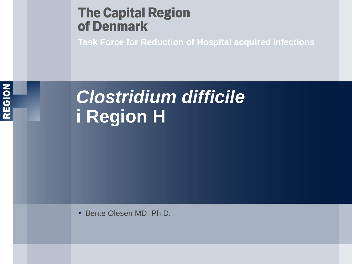## **The Capital Region** of Denmark

**Task Force for Reduction of Hospital acquired Infections**



# *Clostridium difficile*  **i Region H**

• Bente Olesen MD, Ph.D.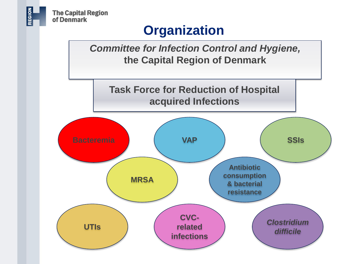

# **Organization**

*Committee for Infection Control and Hygiene,* **the Capital Region of Denmark**

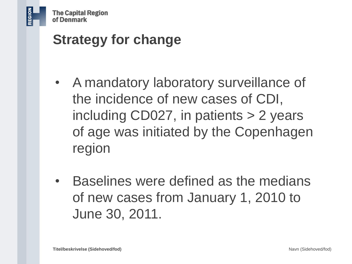- A mandatory laboratory surveillance of the incidence of new cases of CDI, including CD027, in patients > 2 years of age was initiated by the Copenhagen region
- Baselines were defined as the medians of new cases from January 1, 2010 to June 30, 2011.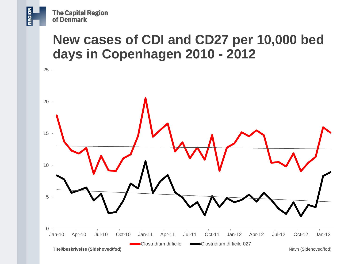# **New cases of CDI and CD27 per 10,000 bed days in Copenhagen 2010 - 2012**

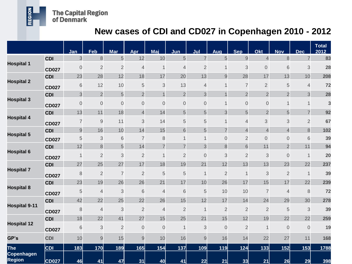**The Capital Region<br>of Denmark** 

REGION

#### **New cases of CDI and CD027 in Copenhagen 2010 - 2012**

|                                                  |              | Jan            | Feb            | <b>Mar</b>     | Apr            | Maj            | Jun            | Jul            | Aug            | <b>Sep</b>     | Okt                      | <b>Nov</b>     | <b>Dec</b>     | <b>Total</b><br>2012 |
|--------------------------------------------------|--------------|----------------|----------------|----------------|----------------|----------------|----------------|----------------|----------------|----------------|--------------------------|----------------|----------------|----------------------|
| <b>Hospital 1</b>                                | <b>CDI</b>   | 3              | $\,8\,$        | 5              | 12             | 10             | 5              | $\overline{7}$ | 5              | 9              | $\overline{\mathcal{L}}$ | $\bf{8}$       | $\overline{7}$ | 83                   |
|                                                  | <b>CD027</b> | $\mathbf 0$    | $\overline{2}$ | $\overline{c}$ | $\overline{4}$ | $\mathbf 1$    | 4              | $\overline{2}$ |                | 3              | $\mathsf{O}\xspace$      | 6              | 3              | 28                   |
| <b>Hospital 2</b>                                | <b>CDI</b>   | 23             | 28             | 12             | 18             | 17             | 20             | 13             | 9              | 28             | 17                       | 13             | 10             | 208                  |
|                                                  | <b>CD027</b> | 6              | 12             | 10             | 5              | 3              | 13             | $\overline{4}$ | 1              | $\overline{7}$ | $\overline{2}$           | 5              | $\overline{4}$ | 72                   |
| <b>Hospital 3</b>                                | <b>CDI</b>   | 3              | $\overline{2}$ | $\overline{5}$ | $\overline{c}$ | $\overline{1}$ | $\overline{c}$ | 3              | $\mathbf{1}$   | $\overline{2}$ | $\overline{2}$           | $\overline{2}$ | 3              | 28                   |
|                                                  | <b>CD027</b> | $\mathbf 0$    | $\theta$       | $\mathbf 0$    | $\mathbf 0$    | $\mathbf 0$    | $\mathbf 0$    | $\overline{0}$ | 1              | 0              | $\mathbf 0$              | $\mathbf 1$    |                | 3                    |
| <b>Hospital 4</b>                                | <b>CDI</b>   | 13             | 11             | 18             | $\overline{4}$ | 14             | 5              | 5              | 3              | 5              | $\overline{2}$           | 5              | $\overline{7}$ | 92                   |
|                                                  | <b>CD027</b> | $\overline{7}$ | $\overline{9}$ | 11             | 3              | 14             | 5              | 5              | 1              | 4              | 3                        | 3              | $\overline{2}$ | 67                   |
| <b>Hospital 5</b>                                | <b>CDI</b>   | $\mathsf 9$    | 16             | 10             | 14             | 15             | 6              | 5              | $\overline{7}$ | $\overline{4}$ | $\overline{4}$           | $\overline{4}$ | 8              | 102                  |
|                                                  | <b>CD027</b> | 5              | 3              | $\sqrt{6}$     | $\overline{7}$ | 8              | 1              | $\mathbf 1$    | $\mathbf 0$    | $\overline{2}$ | $\overline{0}$           | $\mathbf 0$    | 6              | 39                   |
| <b>Hospital 6</b>                                | <b>CDI</b>   | 12             | $\delta$       | 5              | 14             | $\overline{7}$ | $\overline{7}$ | 3              | 8              | 6              | 11                       | $\overline{2}$ | 11             | 94                   |
|                                                  | <b>CD027</b> | 1              | $\overline{2}$ | 3              | $\overline{2}$ | $\mathbf 1$    | $\overline{2}$ | $\overline{0}$ | 3              | $\overline{2}$ | 3                        | $\mathbf 0$    | 1              | 20                   |
| <b>Hospital 7</b>                                | <b>CDI</b>   | 27             | 25             | 27             | 17             | 18             | 19             | 21             | 12             | 13             | 13                       | 23             | 22             | 237                  |
|                                                  | <b>CD027</b> | 8              | $\overline{2}$ | $\overline{7}$ | $\overline{2}$ | 5              | 5              | $\mathbf{1}$   | $\overline{2}$ | $\mathbf 1$    | 3                        | $\overline{2}$ | $\mathbf 1$    | 39                   |
| <b>Hospital 8</b>                                | <b>CDI</b>   | 23             | 19             | 26             | 26             | 21             | 17             | 10             | 26             | 17             | 15                       | 17             | 22             | 239                  |
|                                                  | <b>CD027</b> | 5              | $\overline{4}$ | 3              | 6              | 4              | 6              | 5              | 10             | 10             | 7                        | $\overline{4}$ | $\delta$       | 72                   |
| <b>Hospital 9-11</b>                             | <b>CDI</b>   | 42             | 22             | 25             | 22             | 26             | 15             | 12             | 17             | 14             | 24                       | 29             | 30             | 278                  |
|                                                  | <b>CD027</b> | 8              | $\overline{4}$ | 3              | $\overline{2}$ | 4              | $\overline{2}$ | $\mathbf{1}$   | $\overline{2}$ | $\overline{2}$ | $\overline{2}$           | 5              | 3              | 39                   |
| <b>Hospital 12</b>                               | <b>CDI</b>   | 18             | 22             | 41             | 27             | 15             | 25             | 21             | 15             | 12             | 19                       | 22             | 22             | 259                  |
|                                                  | <b>CD027</b> | 6              | 3              | $\overline{2}$ | $\mathbf 0$    | $\mathbf 0$    | $\mathbf 1$    | 3              | $\mathbf 0$    | $\overline{2}$ | $\mathbf{1}$             | $\overline{0}$ | $\overline{0}$ | 19                   |
| GP's                                             | <b>CDI</b>   | 10             | 9              | 15             | 9              | 10             | 16             | 9              | 16             | 14             | 22                       | 27             | 11             | 168                  |
| <b>The</b><br><b>Copenhagen</b><br><b>Region</b> | <b>CDI</b>   | 183            | 170            | 189            | 165            | 154            | 137            | 109            | 119            | $124$          | 133                      | 152            | 153            | 1788                 |
|                                                  | <b>CD027</b> | 46             | 41             | 47             | 31             | <b>40</b>      | 41             | 22             | 21             | 33             | 21                       | 26             | 29             | 398                  |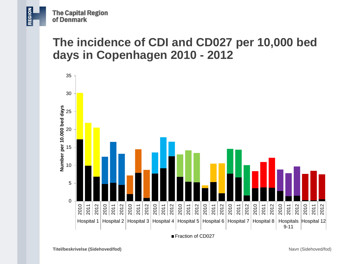### **The incidence of CDI and CD027 per 10,000 bed days in Copenhagen 2010 - 2012**

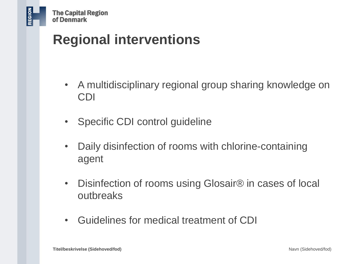# **Regional interventions**

- A multidisciplinary regional group sharing knowledge on CDI
- Specific CDI control guideline
- Daily disinfection of rooms with chlorine-containing agent
- Disinfection of rooms using Glosair<sup>®</sup> in cases of local outbreaks
- Guidelines for medical treatment of CDI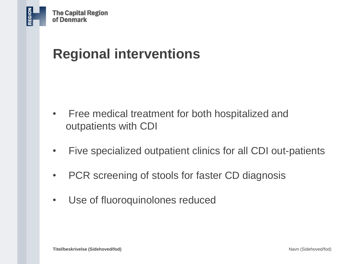# **Regional interventions**

- Free medical treatment for both hospitalized and outpatients with CDI
- Five specialized outpatient clinics for all CDI out-patients
- PCR screening of stools for faster CD diagnosis
- Use of fluoroquinolones reduced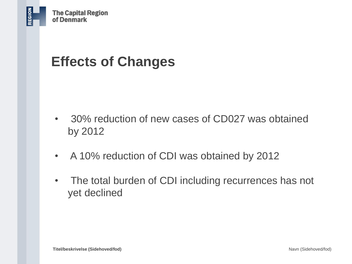# **Effects of Changes**

- 30% reduction of new cases of CD027 was obtained by 2012
- A 10% reduction of CDI was obtained by 2012
- The total burden of CDI including recurrences has not yet declined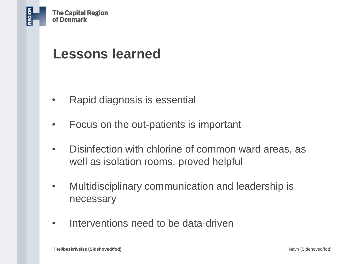# **Lessons learned**

- Rapid diagnosis is essential
- Focus on the out-patients is important
- Disinfection with chlorine of common ward areas, as well as isolation rooms, proved helpful
- Multidisciplinary communication and leadership is necessary
- Interventions need to be data-driven